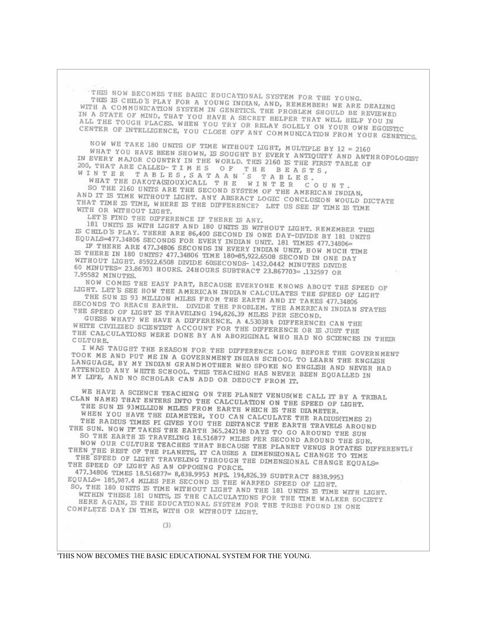THIS NOW BECOMES THE BASIC EDUCATIONAL SYSTEM FOR THE YOUNG. THIS IS CHILD'S PLAY FOR A YOUNG INDIAN, AND, REMEMBER! WE ARE DEALING WITH A COMMUNICATION SYSTEM IN GENETICS. THE PROBLEM SHOULD BE REVIEWED IN A STATE OF MIND, THAT YOU HAVE A SECRET HELPER THAT WILL HELP YOU IN ALL THE TOUGH PLACES. WHEN YOU TRY OR RELAY SOLELY ON YOUR OWN EGOISTIC CENTER OF INTELLIGENCE, YOU CLOSE OFF ANY COMMUNICATION FROM YOUR GENETICS.

NOW WE TAKE 180 UNITS OF TIME WITHOUT LIGHT, MULTIPLE BY 12 = 2160 WHAT YOU HAVE BEEN SHOWN, IS SOUGHT BY EVERY ANTIQUITY AND ANTHROPOLOGIST IN EVERY MAJOR COUNTRY IN THE WORLD. THIS 2160 IS THE FIRST TABLE OF 200, THAT ARE CALLED-TIMES OF THE BEASTS, WINTER TABLES, SATAAN'S TABLES.

COUNT. SO THE 2160 UNITS ARE THE SECOND SYSTEM OF THE AMERICAN INDIAN, AND IT IS TIME WITHOUT LIGHT. ANY ABSRACT LOGIC CONCLUSION WOULD DICTATE THAT TIME IS TIME, WHERE IS THE DIFFERENCE? LET US SEE IF TIME IS TIME WITH OR WITHOUT LIGHT.

LET'S FIND THE DIFFERENCE IF THERE IS ANY.

181 UNITS IS WITH LIGHT AND 180 UNITS IS WITHOUT LIGHT. REMEMBER THIS IS CHILD'S PLAY. THERE ARE 86,400 SECOND IN ONE DAY-DIVIDE BY 181 UNITS EQUALS=477.34806 SECONDS FOR EVERY INDIAN UNIT. 181 TIMES 477.34806=

IF THERE ARE 477.34806 SECONDS IN EVERY INDIAN UNIT, HOW MUCH TIME IS THERE IN 180 UNITS? 477.34806 TIME 180-85,922.6508 SECOND IN ONE DAY WITHOUT LIGHT. 85922.6508 DIVIDE 60SECONDS- 1432.0442 MINUTES DIVIDE 60 MINUTES= 23.86703 HOURS. 24HOURS SUBTRACT 23.867703= .132597 OR 7.95582 MINUTES.

NOW COMES THE EASY PART, BECAUSE EVERYONE KNOWS ABOUT THE SPEED OF LIGHT. LET'S SEE HOW THE AMERICAN INDIAN CALCULATES THE SPEED OF LIGHT THE SUN IS 93 MILLION MILES FROM THE EARTH AND IT TAKES 477.34806

SECONDS TO REACH EARTH. DIVIDE THE PROBLEM. THE AMERICAN INDIAN STATES THE SPEED OF LIGHT IS TRAVELING 194,826.39 MILES PER SECOND.

GUESS WHAT? WE HAVE A DIFFERENCE. A 4.53038% DIFFERENCE! CAN THE WHITE CIVILIZED SCIENTIST ACCOUNT FOR THE DIFFERENCE OR IS JUST THE THE CALCULATIONS WERE DONE BY AN ABORIGINAL WHO HAD NO SCIENCES IN THEIR CULTURE.

I WAS TAUGHT THE REASON FOR THE DIFFERENCE LONG BEFORE THE GOVERNMENT TOOK ME AND PUT ME IN A GOVERNMENT INDIAN SCHOOL TO LEARN THE ENGLISH LANGUAGE, BY MY INDIAN GRANDMOTHER WHO SPOKE NO ENGLISH AND NEVER HAD ATTENDED ANY WHITE SCHOOL. THIS TEACHING HAS NEVER BEEN EQUALLED IN MY LIFE, AND NO SCHOLAR CAN ADD OR DEDUCT FROM IT.

WE HAVE A SCIENCE TEACHING ON THE PLANET VENUS(WE CALL IT BY A TRIBAL CLAN NAME) THAT ENTERS INTO THE CALCULATION ON THE SPEED OF LIGHT. THE SUN IS 93MILLION MILES FROM EARTH WHICH IS THE DIAMETER. WHEN YOU HAVE THE DIAMETER, YOU CAN CALCULATE THE RADIUS(TIMES 2)<br>THE RADIUS TIMES PI GIVES YOU THE DISTANCE THE EARTH TRAVELS AROUND THE SUN. NOW IT TAKES THE EARTH 365.242198 DAYS TO GO AROUND THE SUN SO THE EARTH IS TRAVELING 18.516877 MILES PER SECOND AROUND THE SUN. NOW OUR CULTURE TEACHES THAT BECAUSE THE PLANET VENUS ROTATES DIFFERENTLY THEN THE REST OF THE PLANETS, IT CAUSES A DIMENSIONAL CHANGE TO TIME THE SPEED OF LIGHT TRAVELING THROUGH THE DIMENSIONAL CHANGE EQUALS-THE SPEED OF LIGHT AS AN OPPOSING FORCE. 477.34806 TIMES 18.516877= 8,838.9953 MPS. 194,826.39 SUBTRACT 8838.9953 EQUALS= 185,987.4 MILES PER SECOND IS THE WARPED SPEED OF LIGHT. SO, THE 180 UNITS IS TIME WITHOUT LIGHT AND THE 181 UNITS IS TIME WITH LIGHT. WITHIN THESE 181 UNITS, IS THE CALCULATIONS FOR THE TIME WALKER SOCIETY HERE AGAIN, IS THE EDUCATIONAL SYSTEM FOR THE TRIBE FOUND IN ONE COMPLETE DAY IN TIME, WITH OR WITHOUT LIGHT.

 $(3)$ 

'THIS NOW BECOMES THE BASIC EDUCATIONAL SYSTEM FOR THE YOUNG.